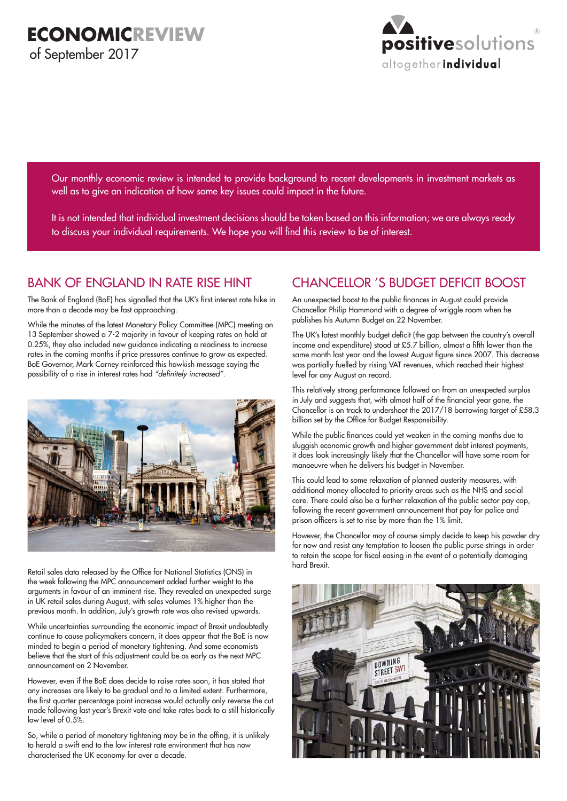

Our monthly economic review is intended to provide background to recent developments in investment markets as well as to give an indication of how some key issues could impact in the future.

It is not intended that individual investment decisions should be taken based on this information; we are always ready to discuss your individual requirements. We hope you will find this review to be of interest.

# BANK OF ENGLAND IN RATE RISE HINT

The Bank of England (BoE) has signalled that the UK's first interest rate hike in more than a decade may be fast approaching.

While the minutes of the latest Monetary Policy Committee (MPC) meeting on 13 September showed a 7-2 majority in favour of keeping rates on hold at 0.25%, they also included new guidance indicating a readiness to increase rates in the coming months if price pressures continue to grow as expected. BoE Governor, Mark Carney reinforced this hawkish message saying the possibility of a rise in interest rates had "definitely increased".



Retail sales data released by the Office for National Statistics (ONS) in the week following the MPC announcement added further weight to the arguments in favour of an imminent rise. They revealed an unexpected surge in UK retail sales during August, with sales volumes 1% higher than the previous month. In addition, July's growth rate was also revised upwards.

While uncertainties surrounding the economic impact of Brexit undoubtedly continue to cause policymakers concern, it does appear that the BoE is now minded to begin a period of monetary tightening. And some economists believe that the start of this adjustment could be as early as the next MPC announcement on 2 November.

However, even if the BoE does decide to raise rates soon, it has stated that any increases are likely to be gradual and to a limited extent. Furthermore, the first quarter percentage point increase would actually only reverse the cut made following last year's Brexit vote and take rates back to a still historically low level of 0.5%.

So, while a period of monetary tightening may be in the offing, it is unlikely to herald a swift end to the low interest rate environment that has now characterised the UK economy for over a decade.

# CHANCELLOR 'S BUDGET DEFICIT BOOST

An unexpected boost to the public finances in August could provide Chancellor Philip Hammond with a degree of wriggle room when he publishes his Autumn Budget on 22 November.

The UK's latest monthly budget deficit (the gap between the country's overall income and expenditure) stood at £5.7 billion, almost a fifth lower than the same month last year and the lowest August figure since 2007. This decrease was partially fuelled by rising VAT revenues, which reached their highest level for any August on record.

This relatively strong performance followed on from an unexpected surplus in July and suggests that, with almost half of the financial year gone, the Chancellor is on track to undershoot the 2017/18 borrowing target of £58.3 billion set by the Office for Budget Responsibility.

While the public finances could yet weaken in the coming months due to sluggish economic growth and higher government debt interest payments, it does look increasingly likely that the Chancellor will have some room for manoeuvre when he delivers his budget in November.

This could lead to some relaxation of planned austerity measures, with additional money allocated to priority areas such as the NHS and social care. There could also be a further relaxation of the public sector pay cap, following the recent government announcement that pay for police and prison officers is set to rise by more than the 1% limit.

However, the Chancellor may of course simply decide to keep his powder dry for now and resist any temptation to loosen the public purse strings in order to retain the scope for fiscal easing in the event of a potentially damaging hard Brexit.